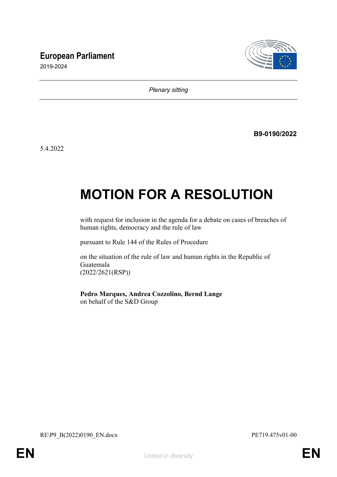## **European Parliament**



2019-2024

*Plenary sitting*

**B9-0190/2022**

5.4.2022

# **MOTION FOR A RESOLUTION**

with request for inclusion in the agenda for a debate on cases of breaches of human rights, democracy and the rule of law

pursuant to Rule 144 of the Rules of Procedure

on the situation of the rule of law and human rights in the Republic of Guatemala (2022/2621(RSP))

**Pedro Marques, Andrea Cozzolino, Bernd Lange** on behalf of the S&D Group

RE\P9\_B(2022)0190\_EN.docx PE719.475v01-00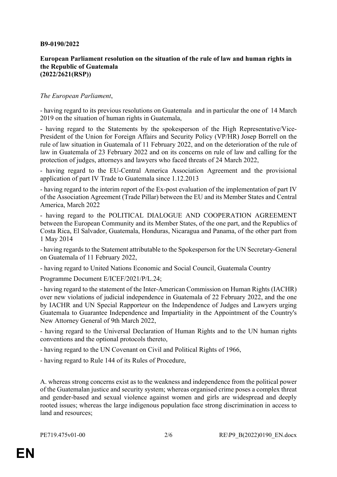#### **B9-0190/2022**

#### **European Parliament resolution on the situation of the rule of law and human rights in the Republic of Guatemala (2022/2621(RSP))**

### *The European Parliament*,

- having regard to its previous resolutions on Guatemala and in particular the one of 14 March 2019 on the situation of human rights in Guatemala,

- having regard to the Statements by the spokesperson of the High Representative/Vice-President of the Union for Foreign Affairs and Security Policy (VP/HR) Josep Borrell on the rule of law situation in Guatemala of 11 February 2022, and on the deterioration of the rule of law in Guatemala of 23 February 2022 and on its concerns on rule of law and calling for the protection of judges, attorneys and lawyers who faced threats of 24 March 2022,

- having regard to the EU-Central America Association Agreement and the provisional application of part IV Trade to Guatemala since 1.12.2013

- having regard to the interim report of the Ex-post evaluation of the implementation of part IV of the Association Agreement (Trade Pillar) between the EU and its Member States and Central America, March 2022

- having regard to the POLITICAL DIALOGUE AND COOPERATION AGREEMENT between the European Community and its Member States, of the one part, and the Republics of Costa Rica, El Salvador, Guatemala, Honduras, Nicaragua and Panama, of the other part from 1 May 2014

- having regards to the Statement attributable to the Spokesperson for the UN Secretary-General on Guatemala of 11 February 2022,

- having regard to United Nations Economic and Social Council, Guatemala Country

Programme Document E/ICEF/2021/P/L.24;

- having regard to the statement of the Inter-American Commission on Human Rights (IACHR) over new violations of judicial independence in Guatemala of 22 February 2022, and the one by IACHR and UN Special Rapporteur on the Independence of Judges and Lawyers urging Guatemala to Guarantee Independence and Impartiality in the Appointment of the Country's New Attorney General of 9th March 2022,

- having regard to the Universal Declaration of Human Rights and to the UN human rights conventions and the optional protocols thereto,

- having regard to the UN Covenant on Civil and Political Rights of 1966,

- having regard to Rule 144 of its Rules of Procedure,

A. whereas strong concerns exist as to the weakness and independence from the political power of the Guatemalan justice and security system; whereas organised crime poses a complex threat and gender-based and sexual violence against women and girls are widespread and deeply rooted issues; whereas the large indigenous population face strong discrimination in access to land and resources;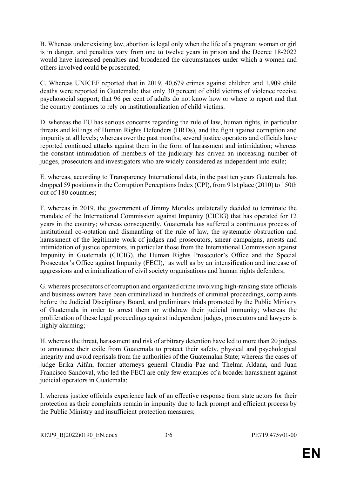B. Whereas under existing law, abortion is legal only when the life of a pregnant woman or girl is in danger, and penalties vary from one to twelve years in prison and the Decree 18-2022 would have increased penalties and broadened the circumstances under which a women and others involved could be prosecuted;

C. Whereas UNICEF reported that in 2019, 40,679 crimes against children and 1,909 child deaths were reported in Guatemala; that only 30 percent of child victims of violence receive psychosocial support; that 96 per cent of adults do not know how or where to report and that the country continues to rely on institutionalization of child victims.

D. whereas the EU has serious concerns regarding the rule of law, human rights, in particular threats and killings of Human Rights Defenders (HRDs), and the fight against corruption and impunity at all levels; whereas over the past months, several justice operators and officials have reported continued attacks against them in the form of harassment and intimidation; whereas the constant intimidation of members of the judiciary has driven an increasing number of judges, prosecutors and investigators who are widely considered as independent into exile;

E. whereas, according to Transparency International data, in the past ten years Guatemala has dropped 59 positions in the Corruption Perceptions Index (CPI), from 91st place (2010) to 150th out of 180 countries;

F. whereas in 2019, the government of Jimmy Morales unilaterally decided to terminate the mandate of the International Commission against Impunity (CICIG) that has operated for 12 years in the country; whereas consequently, Guatemala has suffered a continuous process of institutional co-optation and dismantling of the rule of law, the systematic obstruction and harassment of the legitimate work of judges and prosecutors, smear campaigns, arrests and intimidation of justice operators, in particular those from the International Commission against Impunity in Guatemala (CICIG), the Human Rights Prosecutor's Office and the Special Prosecutor's Office against Impunity (FECI), as well as by an intensification and increase of aggressions and criminalization of civil society organisations and human rights defenders;

G. whereas prosecutors of corruption and organized crime involving high-ranking state officials and business owners have been criminalized in hundreds of criminal proceedings, complaints before the Judicial Disciplinary Board, and preliminary trials promoted by the Public Ministry of Guatemala in order to arrest them or withdraw their judicial immunity; whereas the proliferation of these legal proceedings against independent judges, prosecutors and lawyers is highly alarming;

H. whereas the threat, harassment and risk of arbitrary detention have led to more than 20 judges to announce their exile from Guatemala to protect their safety, physical and psychological integrity and avoid reprisals from the authorities of the Guatemalan State; whereas the cases of judge Erika Aifán, former attorneys general Claudia Paz and Thelma Aldana, and Juan Francisco Sandoval, who led the FECI are only few examples of a broader harassment against judicial operators in Guatemala;

I. whereas justice officials experience lack of an effective response from state actors for their protection as their complaints remain in impunity due to lack prompt and efficient process by the Public Ministry and insufficient protection measures;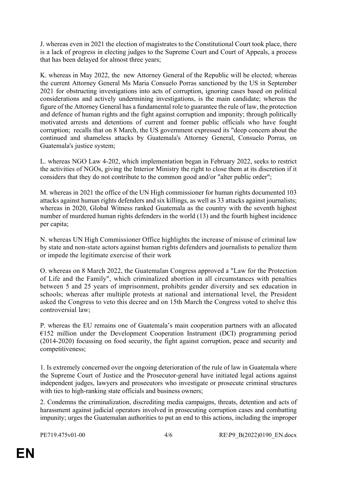J. whereas even in 2021 the election of magistrates to the Constitutional Court took place, there is a lack of progress in electing judges to the Supreme Court and Court of Appeals, a process that has been delayed for almost three years;

K. whereas in May 2022, the new Attorney General of the Republic will be elected; whereas the current Attorney General Ms Maria Consuelo Porras sanctioned by the US in September 2021 for obstructing investigations into acts of corruption, ignoring cases based on political considerations and actively undermining investigations, is the main candidate; whereas the figure of the Attorney General has a fundamental role to guarantee the rule of law, the protection and defence of human rights and the fight against corruption and impunity; through politically motivated arrests and detentions of current and former public officials who have fought corruption; recalls that on 8 March, the US government expressed its "deep concern about the continued and shameless attacks by Guatemala's Attorney General, Consuelo Porras, on Guatemala's justice system;

L. whereas NGO Law 4-202, which implementation began in February 2022, seeks to restrict the activities of NGOs, giving the Interior Ministry the right to close them at its discretion if it considers that they do not contribute to the common good and/or "alter public order";

M. whereas in 2021 the office of the UN High commissioner for human rights documented 103 attacks against human rights defenders and six killings, as well as 33 attacks against journalists; whereas in 2020, Global Witness ranked Guatemala as the country with the seventh highest number of murdered human rights defenders in the world (13) and the fourth highest incidence per capita;

N. whereas UN High Commissioner Office highlights the increase of misuse of criminal law by state and non-state actors against human rights defenders and journalists to penalize them or impede the legitimate exercise of their work

O. whereas on 8 March 2022, the Guatemalan Congress approved a "Law for the Protection of Life and the Family", which criminalized abortion in all circumstances with penalties between 5 and 25 years of imprisonment, prohibits gender diversity and sex education in schools; whereas after multiple protests at national and international level, the President asked the Congress to veto this decree and on 15th March the Congress voted to shelve this controversial law;

P. whereas the EU remains one of Guatemala's main cooperation partners with an allocated  $€152$  million under the Development Cooperation Instrument (DCI) programming period (2014-2020) focussing on food security, the fight against corruption, peace and security and competitiveness;

1. Is extremely concerned over the ongoing deterioration of the rule of law in Guatemala where the Supreme Court of Justice and the Prosecutor-general have initiated legal actions against independent judges, lawyers and prosecutors who investigate or prosecute criminal structures with ties to high-ranking state officials and business owners;

2. Condemns the criminalization, discrediting media campaigns, threats, detention and acts of harassment against judicial operators involved in prosecuting corruption cases and combatting impunity; urges the Guatemalan authorities to put an end to this actions, including the improper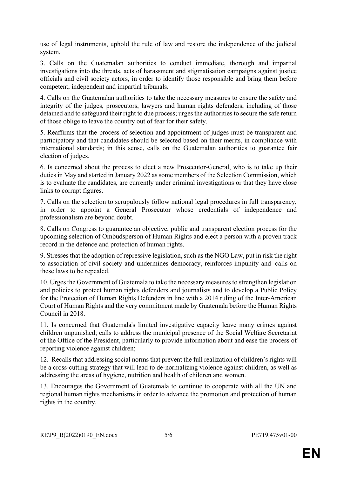use of legal instruments, uphold the rule of law and restore the independence of the judicial system.

3. Calls on the Guatemalan authorities to conduct immediate, thorough and impartial investigations into the threats, acts of harassment and stigmatisation campaigns against justice officials and civil society actors, in order to identify those responsible and bring them before competent, independent and impartial tribunals.

4. Calls on the Guatemalan authorities to take the necessary measures to ensure the safety and integrity of the judges, prosecutors, lawyers and human rights defenders, including of those detained and to safeguard their right to due process; urges the authorities to secure the safe return of those oblige to leave the country out of fear for their safety.

5. Reaffirms that the process of selection and appointment of judges must be transparent and participatory and that candidates should be selected based on their merits, in compliance with international standards; in this sense, calls on the Guatemalan authorities to guarantee fair election of judges.

6. Is concerned about the process to elect a new Prosecutor-General, who is to take up their duties in May and started in January 2022 as some members of the Selection Commission, which is to evaluate the candidates, are currently under criminal investigations or that they have close links to corrupt figures.

7. Calls on the selection to scrupulously follow national legal procedures in full transparency, in order to appoint a General Prosecutor whose credentials of independence and professionalism are beyond doubt.

8. Calls on Congress to guarantee an objective, public and transparent election process for the upcoming selection of Ombudsperson of Human Rights and elect a person with a proven track record in the defence and protection of human rights.

9. Stresses that the adoption of repressive legislation, such as the NGO Law, put in risk the right to association of civil society and undermines democracy, reinforces impunity and calls on these laws to be repealed.

10. Urges the Government of Guatemala to take the necessary measures to strengthen legislation and policies to protect human rights defenders and journalists and to develop a Public Policy for the Protection of Human Rights Defenders in line with a 2014 ruling of the Inter-American Court of Human Rights and the very commitment made by Guatemala before the Human Rights Council in 2018.

11. Is concerned that Guatemala's limited investigative capacity leave many crimes against children unpunished; calls to address the municipal presence of the Social Welfare Secretariat of the Office of the President, particularly to provide information about and ease the process of reporting violence against children;

12. Recalls that addressing social norms that prevent the full realization of children's rights will be a cross-cutting strategy that will lead to de-normalizing violence against children, as well as addressing the areas of hygiene, nutrition and health of children and women.

13. Encourages the Government of Guatemala to continue to cooperate with all the UN and regional human rights mechanisms in order to advance the promotion and protection of human rights in the country.